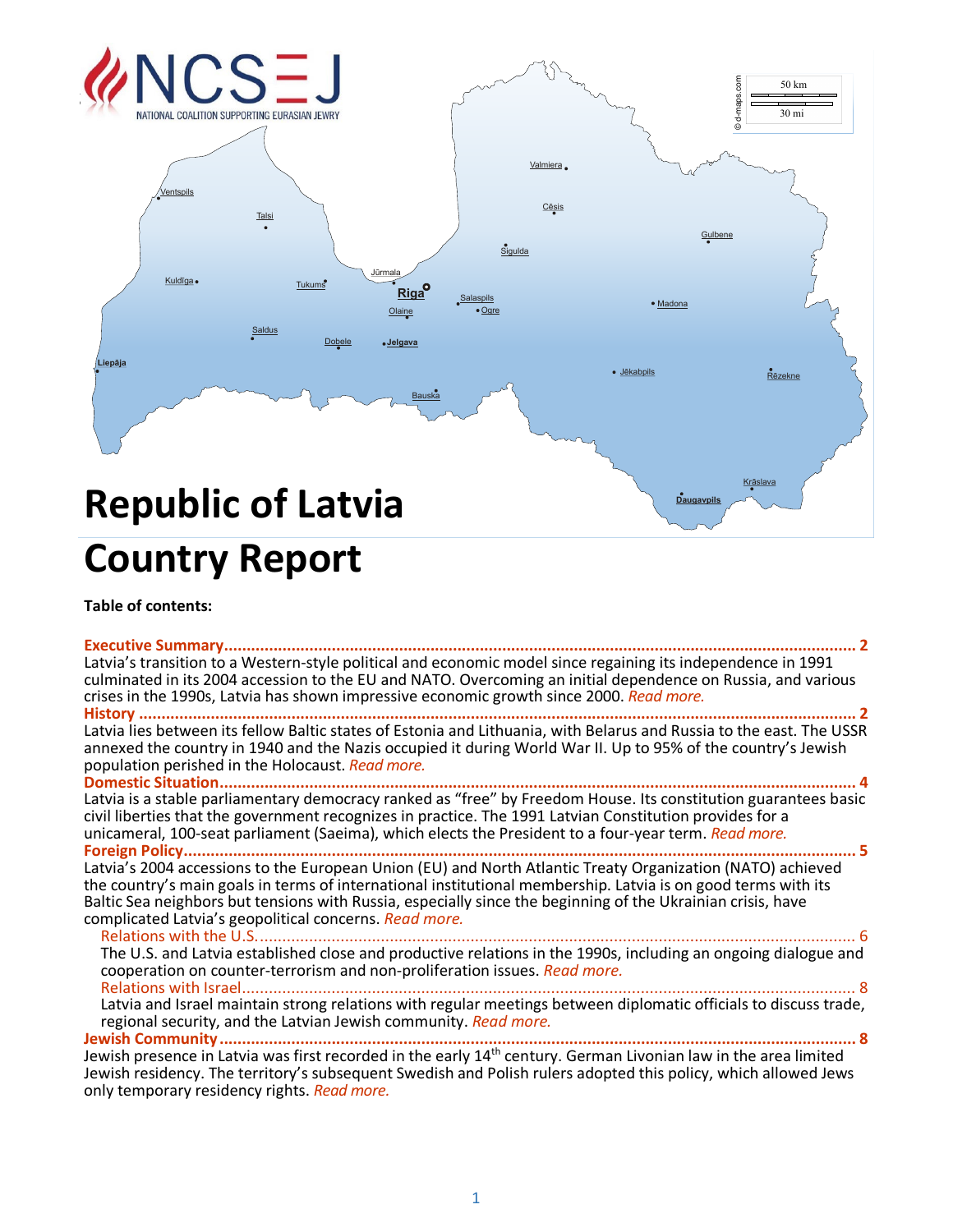

# **Country Report**

#### **Table of contents:**

| Latvia's transition to a Western-style political and economic model since regaining its independence in 1991<br>culminated in its 2004 accession to the EU and NATO. Overcoming an initial dependence on Russia, and various<br>crises in the 1990s, Latvia has shown impressive economic growth since 2000. Read more.                                                                              |
|------------------------------------------------------------------------------------------------------------------------------------------------------------------------------------------------------------------------------------------------------------------------------------------------------------------------------------------------------------------------------------------------------|
|                                                                                                                                                                                                                                                                                                                                                                                                      |
| Latvia lies between its fellow Baltic states of Estonia and Lithuania, with Belarus and Russia to the east. The USSR<br>annexed the country in 1940 and the Nazis occupied it during World War II. Up to 95% of the country's Jewish<br>population perished in the Holocaust. Read more.                                                                                                             |
| Domestic Situation                                                                                                                                                                                                                                                                                                                                                                                   |
| Latvia is a stable parliamentary democracy ranked as "free" by Freedom House. Its constitution guarantees basic<br>civil liberties that the government recognizes in practice. The 1991 Latvian Constitution provides for a<br>unicameral, 100-seat parliament (Saeima), which elects the President to a four-year term. Read more.                                                                  |
| Foreign Policy                                                                                                                                                                                                                                                                                                                                                                                       |
| Latvia's 2004 accessions to the European Union (EU) and North Atlantic Treaty Organization (NATO) achieved<br>the country's main goals in terms of international institutional membership. Latvia is on good terms with its<br>Baltic Sea neighbors but tensions with Russia, especially since the beginning of the Ukrainian crisis, have<br>complicated Latvia's geopolitical concerns. Read more. |
| Relations with the U.S                                                                                                                                                                                                                                                                                                                                                                               |
| The U.S. and Latvia established close and productive relations in the 1990s, including an ongoing dialogue and<br>cooperation on counter-terrorism and non-proliferation issues. Read more.                                                                                                                                                                                                          |
| Relations with Israel                                                                                                                                                                                                                                                                                                                                                                                |
| Latvia and Israel maintain strong relations with regular meetings between diplomatic officials to discuss trade,<br>regional security, and the Latvian Jewish community. Read more.                                                                                                                                                                                                                  |
|                                                                                                                                                                                                                                                                                                                                                                                                      |
| Jewish presence in Latvia was first recorded in the early 14 <sup>th</sup> century. German Livonian law in the area limited<br>Jewish residency. The territory's subsequent Swedish and Polish rulers adopted this policy, which allowed Jews                                                                                                                                                        |

only temporary residency rights. *[Read more.](#page-8-0)*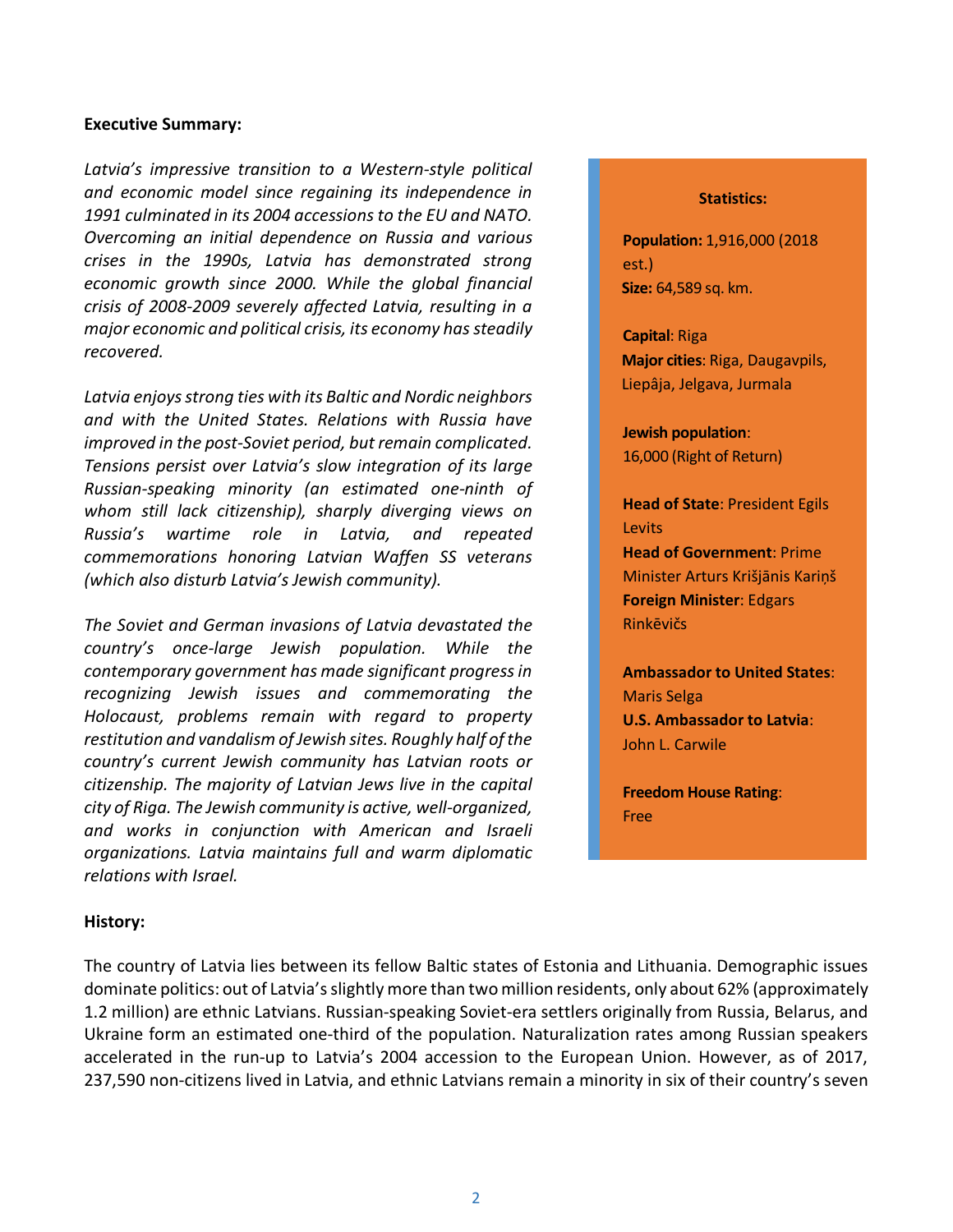#### <span id="page-1-0"></span>**Executive Summary:**

*Latvia's impressive transition to a Western-style political and economic model since regaining its independence in 1991 culminated in its 2004 accessionsto the EU and NATO. Overcoming an initial dependence on Russia and various crises in the 1990s, Latvia has demonstrated strong economic growth since 2000. While the global financial crisis of 2008-2009 severely affected Latvia, resulting in a major economic and political crisis, its economy has steadily recovered.*

*Latvia enjoys strong ties with its Baltic and Nordic neighbors and with the United States. Relations with Russia have improved in the post-Soviet period, but remain complicated. Tensions persist over Latvia's slow integration of its large Russian-speaking minority (an estimated one-ninth of whom still lack citizenship), sharply diverging views on Russia's wartime role in Latvia, and repeated commemorations honoring Latvian Waffen SS veterans (which also disturb Latvia's Jewish community).*

*The Soviet and German invasions of Latvia devastated the country's once-large Jewish population. While the contemporary government has made significant progress in recognizing Jewish issues and commemorating the Holocaust, problems remain with regard to property restitution and vandalism of Jewish sites. Roughly half of the country's current Jewish community has Latvian roots or citizenship. The majority of Latvian Jews live in the capital city of Riga. The Jewish community is active, well-organized, and works in conjunction with American and Israeli organizations. Latvia maintains full and warm diplomatic relations with Israel.*

#### **Statistics:**

**Population:** 1,916,000 (2018 est.) **Size:** 64,589 sq. km.

**Capital**: Riga **Major cities**: Riga, Daugavpils, Liepâja, Jelgava, Jurmala

**Jewish population**: 16,000 (Right of Return)

**Head of State**: President Egils **Levits Head of Government**: Prime Minister Arturs Krišjānis Kariņš **Foreign Minister**: Edgars Rinkēvičs

**Ambassador to United States**: Maris Selga **U.S. Ambassador to Latvia**: John L. Carwile

**Freedom House Rating**: Free

#### <span id="page-1-1"></span>**History:**

The country of Latvia lies between its fellow Baltic states of [Estonia](http://www.ncsj.org/Estonia.shtml) and [Lithuania.](http://www.ncsj.org/Lithuania.shtml) Demographic issues dominate politics: out of Latvia's slightly more than two million residents, only about 62% (approximately 1.2 million) are ethnic Latvians. Russian-speaking Soviet-era settlers originally from Russia, Belarus, and Ukraine form an estimated one-third of the population. Naturalization rates among Russian speakers accelerated in the run-up to Latvia's 2004 accession to the European Union. However, as of 2017, 237,590 non-citizens lived in Latvia, and ethnic Latvians remain a minority in six of their country's seven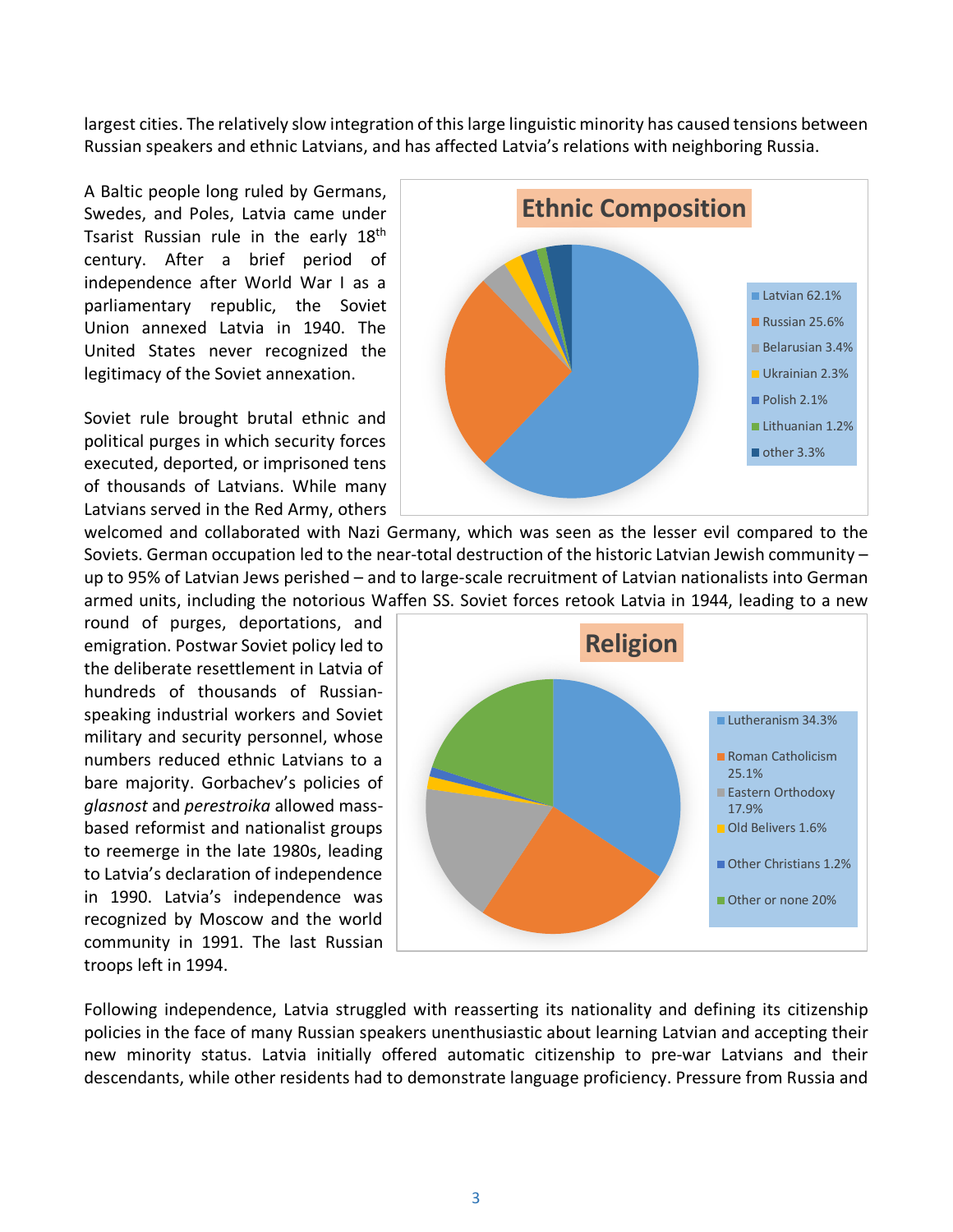largest cities. The relatively slow integration of this large linguistic minority has caused tensions between Russian speakers and ethnic Latvians, and has affected Latvia's relations with neighboring Russia.

A Baltic people long ruled by Germans, Swedes, and Poles, Latvia came under Tsarist Russian rule in the early  $18<sup>th</sup>$ century. After a brief period of independence after World War I as a parliamentary republic, the Soviet Union annexed Latvia in 1940. The United States never recognized the legitimacy of the Soviet annexation.

Soviet rule brought brutal ethnic and political purges in which security forces executed, deported, or imprisoned tens of thousands of Latvians. While many Latvians served in the Red Army, others

welcomed and collaborated with Nazi Germany, which was seen as the lesser evil compared to the Soviets. German occupation led to the near-total destruction of the historic Latvian Jewish community – up to 95% of Latvian Jews perished – and to large-scale recruitment of Latvian nationalists into German Lithuanian 1.2% other 3.3%

round of purges, deportations, and emigration. Postwar Soviet policy led to the deliberate resettlement in Latvia of hundreds of thousands of Russianspeaking industrial workers and Soviet military and security personnel, whose numbers reduced ethnic Latvians to a bare majority. Gorbachev's policies of *glasnost* and *perestroika* allowed massbased reformist and nationalist groups to reemerge in the late 1980s, leading to Latvia's declaration of independence in 1990. Latvia's independence was recognized by Moscow and the world community in 1991. The last Russian troops left in 1994.



**Ethnic Composition**

Latvian 62.1% Russian 25.6% Belarusian 3.4% Ukrainian 2.3% Polish 2.1%

Following independence, Latvia struggled with reasserting its nationality and defining its citizenship policies in the face of many Russian speakers unenthusiastic about learning Latvian and accepting their new minority status. Latvia initially offered automatic citizenship to pre-war Latvians and their descendants, while other residents had to demonstrate language proficiency. Pressure from Russia and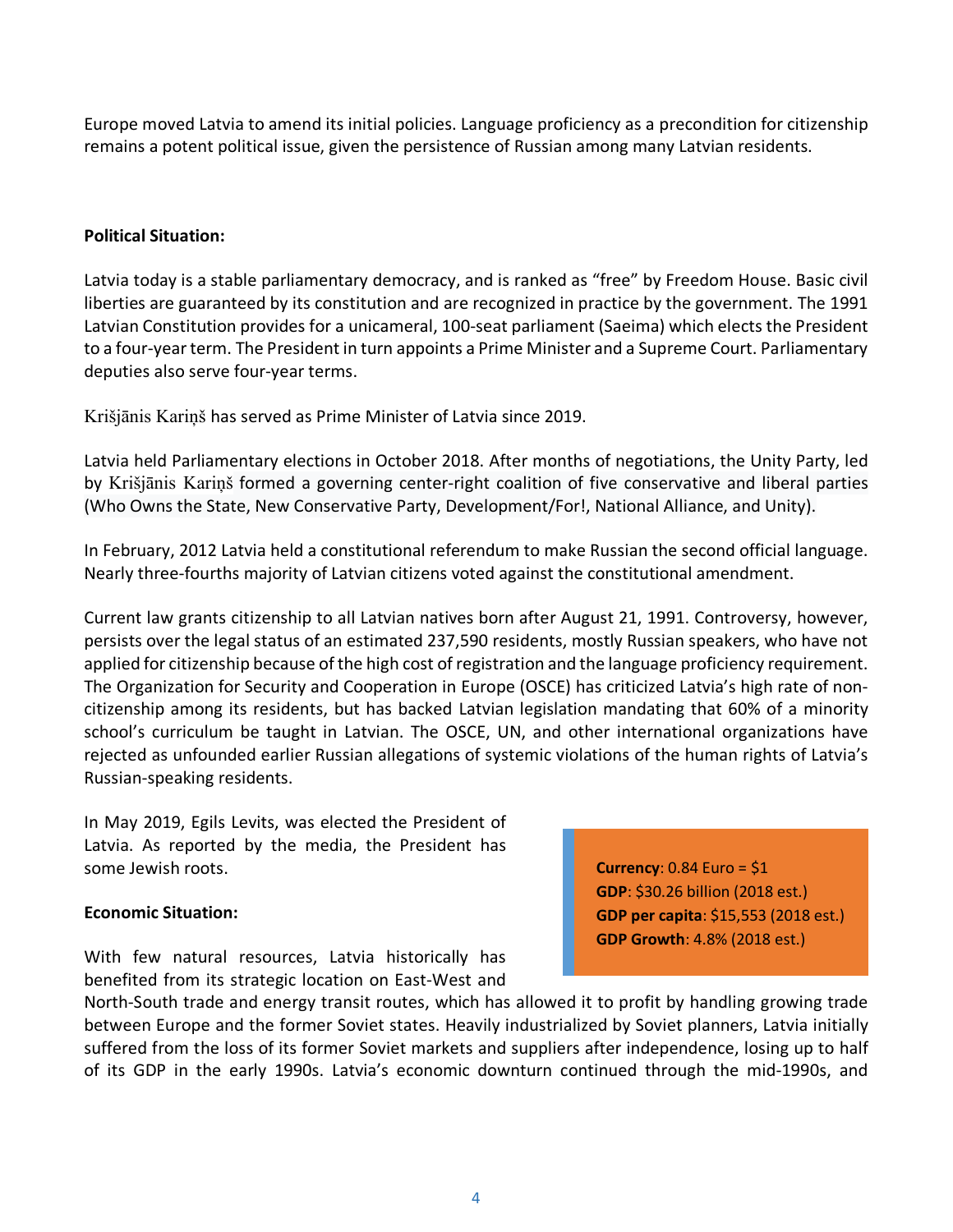Europe moved Latvia to amend its initial policies. Language proficiency as a precondition for citizenship remains a potent political issue, given the persistence of Russian among many Latvian residents.

# <span id="page-3-0"></span>**Political Situation:**

Latvia today is a stable parliamentary democracy, and is ranked as "free" by Freedom House. Basic civil liberties are guaranteed by its constitution and are recognized in practice by the government. The 1991 Latvian Constitution provides for a unicameral, 100-seat parliament [\(Saeima\)](http://www.saeima.lv/Saeima99Eng.htm) which elects the President to a four-year term. The President in turn appoints a Prime Minister and a Supreme Court. Parliamentary deputies also serve four-year terms.

[Krišjānis Kariņš](https://en.wikipedia.org/wiki/Arturs_Kri%C5%A1j%C4%81nis_Kari%C5%86%C5%A1) has served as Prime Minister of Latvia since 2019.

Latvia held Parliamentary elections in October 2018. After months of negotiations, the Unity Party, led by [Krišjānis Kariņš](https://en.wikipedia.org/wiki/Arturs_Kri%C5%A1j%C4%81nis_Kari%C5%86%C5%A1) formed a governing center-right coalition of five conservative and liberal parties (Who Owns the State, New Conservative Party, Development/For!, National Alliance, and Unity).

In February, 2012 Latvia held a constitutional referendum to make Russian the second official language. Nearly three-fourths majority of Latvian citizens voted against the constitutional amendment.

Current law grants citizenship to all Latvian natives born after August 21, 1991. Controversy, however, persists over the legal status of an estimated 237,590 residents, mostly Russian speakers, who have not applied for citizenship because of the high cost of registration and the language proficiency requirement. The Organization for Security and Cooperation in Europe (OSCE) has criticized Latvia's high rate of noncitizenship among its residents, but has backed Latvian legislation mandating that 60% of a minority school's curriculum be taught in Latvian. The OSCE, UN, and other international organizations have rejected as unfounded earlier Russian allegations of systemic violations of the human rights of Latvia's Russian-speaking residents.

In May 2019, Egils Levits, was elected the President of Latvia. As reported by the media, the President has some Jewish roots.

## **Economic Situation:**

With few natural resources, Latvia historically has benefited from its strategic location on East-West and **Currency**: 0.84 Euro = \$1 **GDP**: \$30.26 billion (2018 est.) **GDP per capita**: \$15,553 (2018 est.) **GDP Growth**: 4.8% (2018 est.)

North-South trade and energy transit routes, which has allowed it to profit by handling growing trade between Europe and the former Soviet states. Heavily industrialized by Soviet planners, Latvia initially suffered from the loss of its former Soviet markets and suppliers after independence, losing up to half of its GDP in the early 1990s. Latvia's economic downturn continued through the mid-1990s, and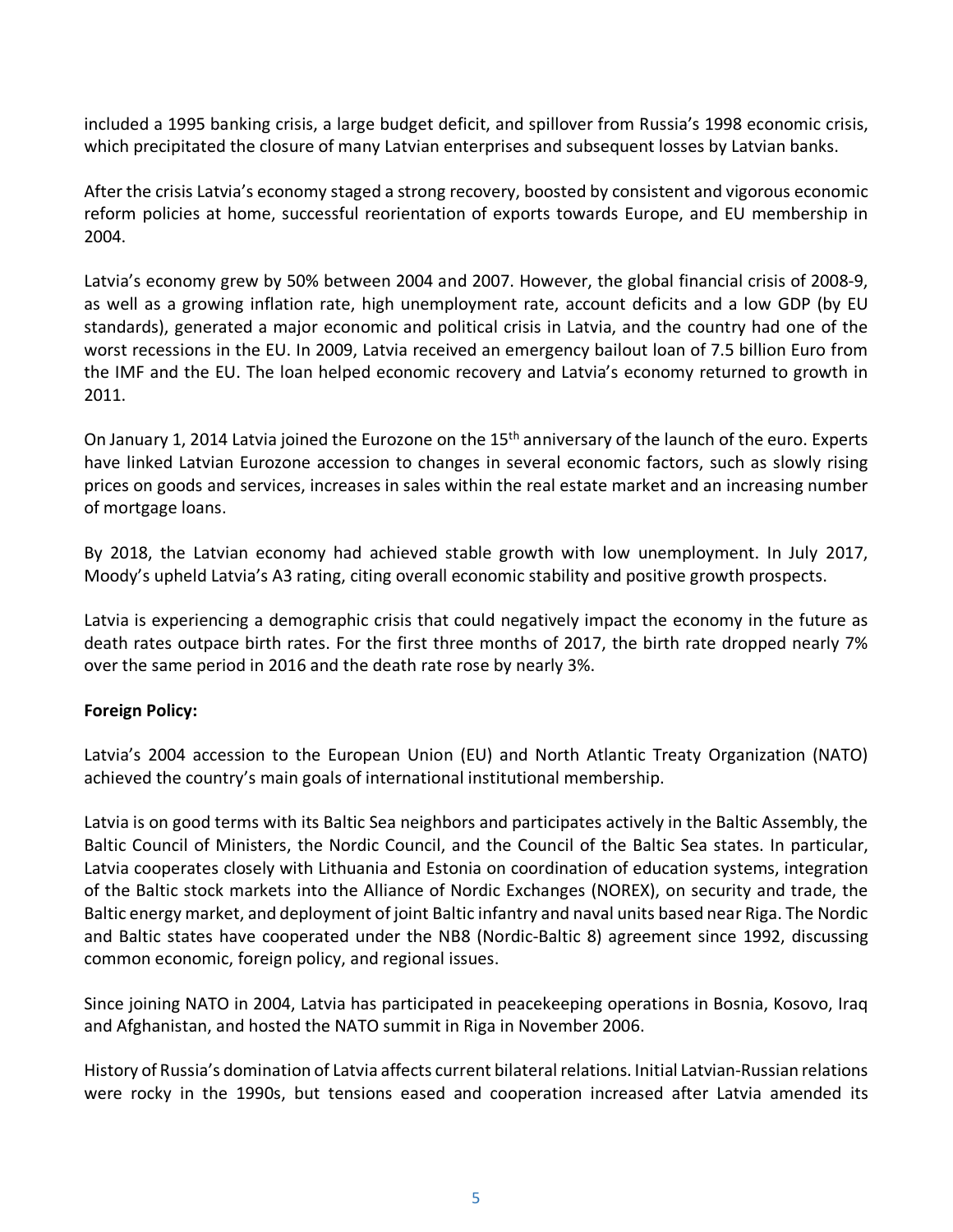included a 1995 banking crisis, a large budget deficit, and spillover from Russia's 1998 economic crisis, which precipitated the closure of many Latvian enterprises and subsequent losses by Latvian banks.

After the crisis Latvia's economy staged a strong recovery, boosted by consistent and vigorous economic reform policies at home, successful reorientation of exports towards Europe, and EU membership in 2004.

Latvia's economy grew by 50% between 2004 and 2007. However, the global financial crisis of 2008-9, as well as a growing inflation rate, high unemployment rate, account deficits and a low GDP (by EU standards), generated a major economic and political crisis in Latvia, and the country had one of the worst recessions in the EU. In 2009, Latvia received an emergency bailout loan of 7.5 billion Euro from the IMF and the EU. The loan helped economic recovery and Latvia's economy returned to growth in 2011.

On January 1, 2014 Latvia joined the Eurozone on the 15<sup>th</sup> anniversary of the launch of the euro. Experts have linked Latvian Eurozone accession to changes in several economic factors, such as slowly rising prices on goods and services, increases in sales within the real estate market and an increasing number of mortgage loans.

By 2018, the Latvian economy had achieved stable growth with low unemployment. In July 2017, Moody's upheld Latvia's A3 rating, citing overall economic stability and positive growth prospects.

Latvia is experiencing a demographic crisis that could negatively impact the economy in the future as death rates outpace birth rates. For the first three months of 2017, the birth rate dropped nearly 7% over the same period in 2016 and the death rate rose by nearly 3%.

# <span id="page-4-0"></span>**Foreign Policy:**

Latvia's 2004 accession to the European Union (EU) and North Atlantic Treaty Organization (NATO) achieved the country's main goals of international institutional membership.

Latvia is on good terms with its Baltic Sea neighbors and participates actively in the Baltic Assembly, the Baltic Council of Ministers, the Nordic Council, and the Council of the Baltic Sea states. In particular, Latvia cooperates closely with Lithuania and Estonia on coordination of education systems, integration of the Baltic stock markets into the Alliance of Nordic Exchanges (NOREX), on security and trade, the Baltic energy market, and deployment of joint Baltic infantry and naval units based near Riga. The Nordic and Baltic states have cooperated under the NB8 (Nordic-Baltic 8) agreement since 1992, discussing common economic, foreign policy, and regional issues.

Since joining NATO in 2004, Latvia has participated in peacekeeping operations in Bosnia, Kosovo, Iraq and Afghanistan, and hosted the NATO summit in Riga in November 2006.

History of Russia's domination of Latvia affects current bilateral relations. Initial Latvian-Russian relations were rocky in the 1990s, but tensions eased and cooperation increased after Latvia amended its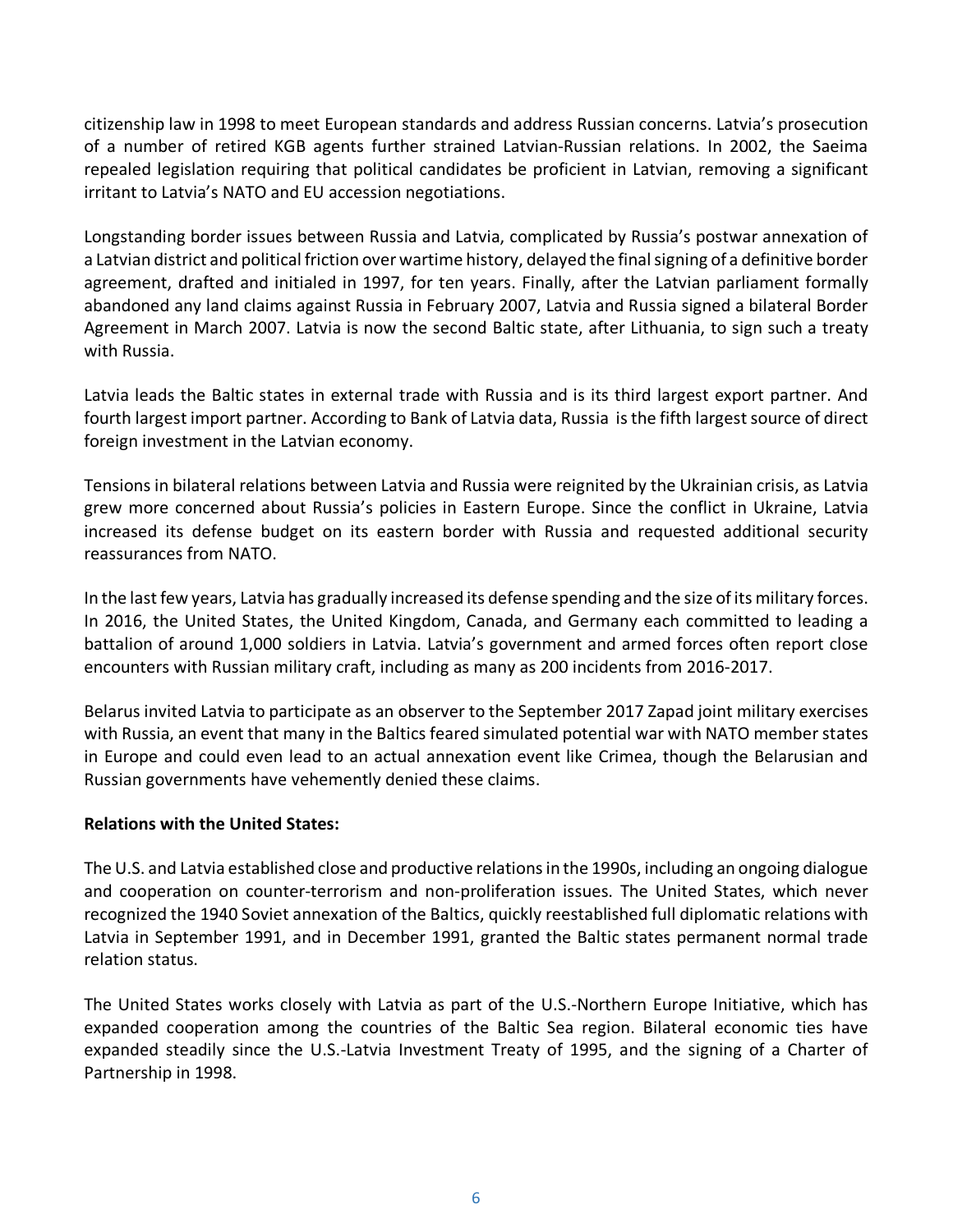citizenship law in 1998 to meet European standards and address Russian concerns. Latvia's prosecution of a number of retired KGB agents further strained Latvian-Russian relations. In 2002, the Saeima repealed legislation requiring that political candidates be proficient in Latvian, removing a significant irritant to Latvia's NATO and EU accession negotiations.

Longstanding border issues between Russia and Latvia, complicated by Russia's postwar annexation of a Latvian district and political friction over wartime history, delayed the final signing of a definitive border agreement, drafted and initialed in 1997, for ten years. Finally, after the Latvian parliament formally abandoned any land claims against Russia in February 2007, Latvia and Russia signed a bilateral Border Agreement in March 2007. Latvia is now the second Baltic state, after Lithuania, to sign such a treaty with Russia.

Latvia leads the Baltic states in external trade with Russia and is its third largest export partner. And fourth largest import partner. According to Bank of Latvia data, Russia is the fifth largest source of direct foreign investment in the Latvian economy.

Tensions in bilateral relations between Latvia and Russia were reignited by the Ukrainian crisis, as Latvia grew more concerned about Russia's policies in Eastern Europe. Since the conflict in Ukraine, Latvia increased its defense budget on its eastern border with Russia and requested additional security reassurances from NATO.

In the last few years, Latvia has gradually increased its defense spending and the size of its military forces. In 2016, the United States, the United Kingdom, Canada, and Germany each committed to leading a battalion of around 1,000 soldiers in Latvia. Latvia's government and armed forces often report close encounters with Russian military craft, including as many as 200 incidents from 2016-2017.

Belarus invited Latvia to participate as an observer to the September 2017 Zapad joint military exercises with Russia, an event that many in the Baltics feared simulated potential war with NATO member states in Europe and could even lead to an actual annexation event like Crimea, though the Belarusian and Russian governments have vehemently denied these claims.

## <span id="page-5-0"></span>**Relations with the United States:**

The U.S. and Latvia established close and productive relations in the 1990s, including an ongoing dialogue and cooperation on counter-terrorism and non-proliferation issues. The United States, which never recognized the 1940 Soviet annexation of the Baltics, quickly reestablished full diplomatic relations with Latvia in September 1991, and in December 1991, granted the Baltic states permanent normal trade relation status.

The United States works closely with Latvia as part of the U.S.-Northern Europe Initiative, which has expanded cooperation among the countries of the Baltic Sea region. Bilateral economic ties have expanded steadily since the U.S.-Latvia Investment Treaty of 1995, and the signing of a Charter of Partnership in 1998.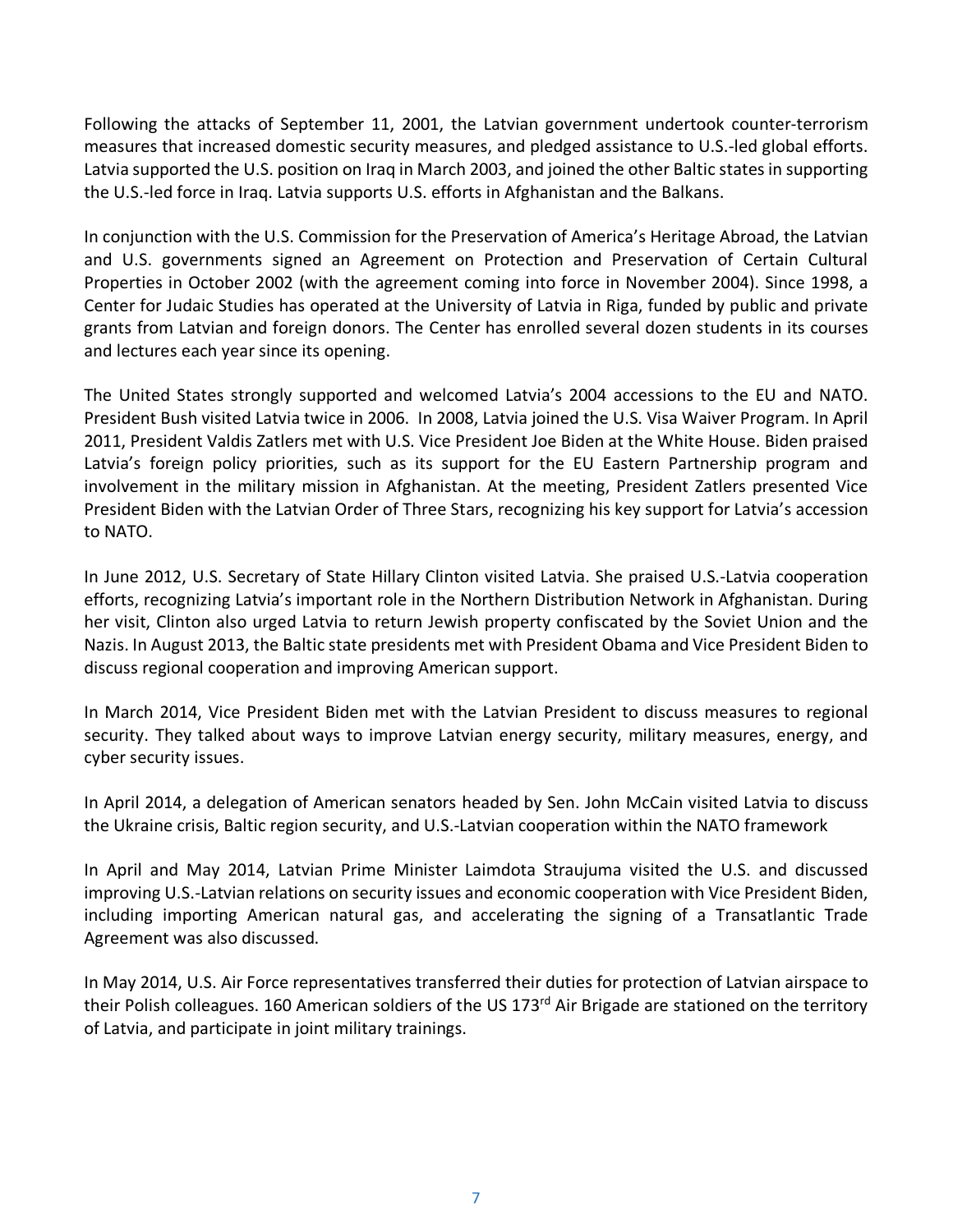Following the attacks of September 11, 2001, the Latvian government undertook counter-terrorism measures that increased domestic security measures, and pledged assistance to U.S.-led global efforts. Latvia supported the U.S. position on Iraq in March 2003, and joined the other Baltic states in supporting the U.S.-led force in Iraq. Latvia supports U.S. efforts in Afghanistan and the Balkans.

In conjunction with the U.S. Commission for the Preservation of America's Heritage Abroad, the Latvian and U.S. governments signed an Agreement on Protection and Preservation of Certain Cultural Properties in October 2002 (with the agreement coming into force in November 2004). Since 1998, a Center for Judaic Studies has operated at the University of Latvia in Riga, funded by public and private grants from Latvian and foreign donors. The Center has enrolled several dozen students in its courses and lectures each year since its opening.

The United States strongly supported and welcomed Latvia's 2004 accessions to the EU and NATO. President Bush visited Latvia twice in 2006. In 2008, Latvia joined the U.S. Visa Waiver Program. In April 2011, President Valdis Zatlers met with U.S. Vice President Joe Biden at the White House. Biden praised Latvia's foreign policy priorities, such as its support for the EU Eastern Partnership program and involvement in the military mission in Afghanistan. At the meeting, President Zatlers presented Vice President Biden with the Latvian Order of Three Stars, recognizing his key support for Latvia's accession to NATO.

In June 2012, U.S. Secretary of State Hillary Clinton visited Latvia. She praised U.S.-Latvia cooperation efforts, recognizing Latvia's important role in the Northern Distribution Network in Afghanistan. During her visit, Clinton also urged Latvia to return Jewish property confiscated by the Soviet Union and the Nazis. In August 2013, the Baltic state presidents met with President Obama and Vice President Biden to discuss regional cooperation and improving American support.

In March 2014, Vice President Biden met with the Latvian President to discuss measures to regional security. They talked about ways to improve Latvian energy security, military measures, energy, and cyber security issues.

In April 2014, a delegation of American senators headed by Sen. John McCain visited Latvia to discuss the Ukraine crisis, Baltic region security, and U.S.-Latvian cooperation within the NATO framework

In April and May 2014, Latvian Prime Minister Laimdota Straujuma visited the U.S. and discussed improving U.S.-Latvian relations on security issues and economic cooperation with Vice President Biden, including importing American natural gas, and accelerating the signing of a Transatlantic Trade Agreement was also discussed.

In May 2014, U.S. Air Force representatives transferred their duties for protection of Latvian airspace to their Polish colleagues. 160 American soldiers of the US 173<sup>rd</sup> Air Brigade are stationed on the territory of Latvia, and participate in joint military trainings.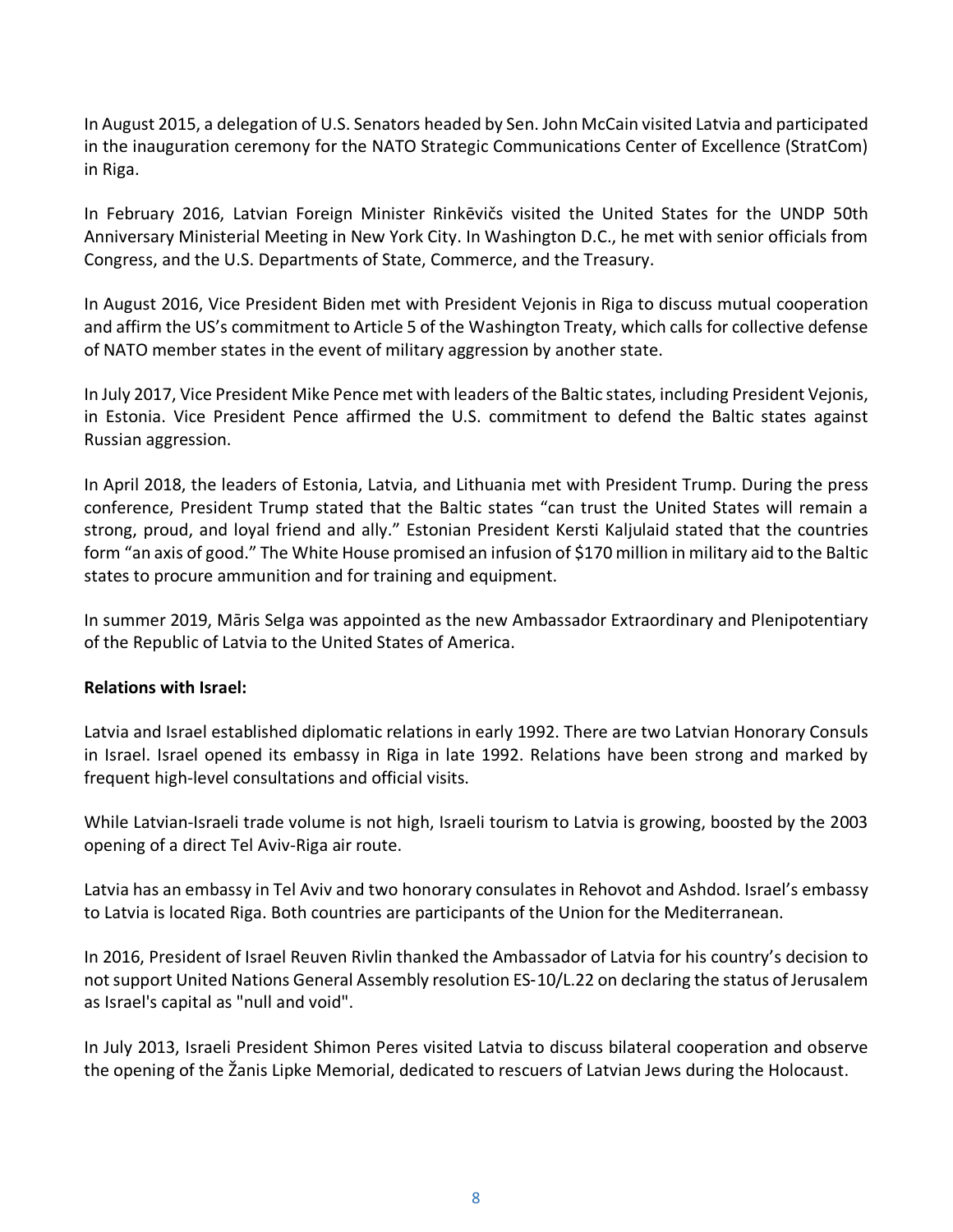In August 2015, a delegation of U.S. Senators headed by Sen. John McCain visited Latvia and participated in the inauguration ceremony for the NATO Strategic Communications Center of Excellence (StratCom) in Riga.

In February 2016, Latvian Foreign Minister Rinkēvičs visited the United States for the UNDP 50th Anniversary Ministerial Meeting in New York City. In Washington D.C., he met with senior officials from Congress, and the U.S. Departments of State, Commerce, and the Treasury.

In August 2016, Vice President Biden met with President Vejonis in Riga to discuss mutual cooperation and affirm the US's commitment to Article 5 of the Washington Treaty, which calls for collective defense of NATO member states in the event of military aggression by another state.

In July 2017, Vice President Mike Pence met with leaders of the Baltic states, including President Vejonis, in Estonia. Vice President Pence affirmed the U.S. commitment to defend the Baltic states against Russian aggression.

In April 2018, the leaders of Estonia, Latvia, and Lithuania met with President Trump. During the press conference, President Trump stated that the Baltic states "can trust the United States will remain a strong, proud, and loyal friend and ally." Estonian President Kersti Kaljulaid stated that the countries form "an axis of good." The White House promised an infusion of \$170 million in military aid to the Baltic states to procure ammunition and for training and equipment.

In summer 2019, Māris Selga was appointed as the new Ambassador Extraordinary and Plenipotentiary of the Republic of Latvia to the United States of America.

## <span id="page-7-0"></span>**Relations with Israel:**

Latvia and Israel established diplomatic relations in early 1992. There are two Latvian Honorary Consuls in Israel. Israel opened its embassy in Riga in late 1992. [Relations](http://www.am.gov.lv/en/?id=2255) have been strong and marked by frequent high-level consultations and official visits.

While Latvian-Israeli trade volume is not high, Israeli tourism to Latvia is growing, boosted by the 2003 opening of a direct Tel Aviv-Riga air route.

Latvia has an embassy in Tel Aviv and two honorary consulates in Rehovot and Ashdod. Israel's embassy to Latvia is located Riga. Both countries are participants of the Union for the Mediterranean.

In 2016, President of Israel Reuven Rivlin thanked the Ambassador of Latvia for his country's decision to not support United Nations General Assembly resolution ES-10/L.22 on declaring the status of Jerusalem as Israel's capital as "null and void".

In July 2013, Israeli President Shimon Peres visited Latvia to discuss bilateral cooperation and observe the opening of the Žanis Lipke Memorial, dedicated to rescuers of Latvian Jews during the Holocaust.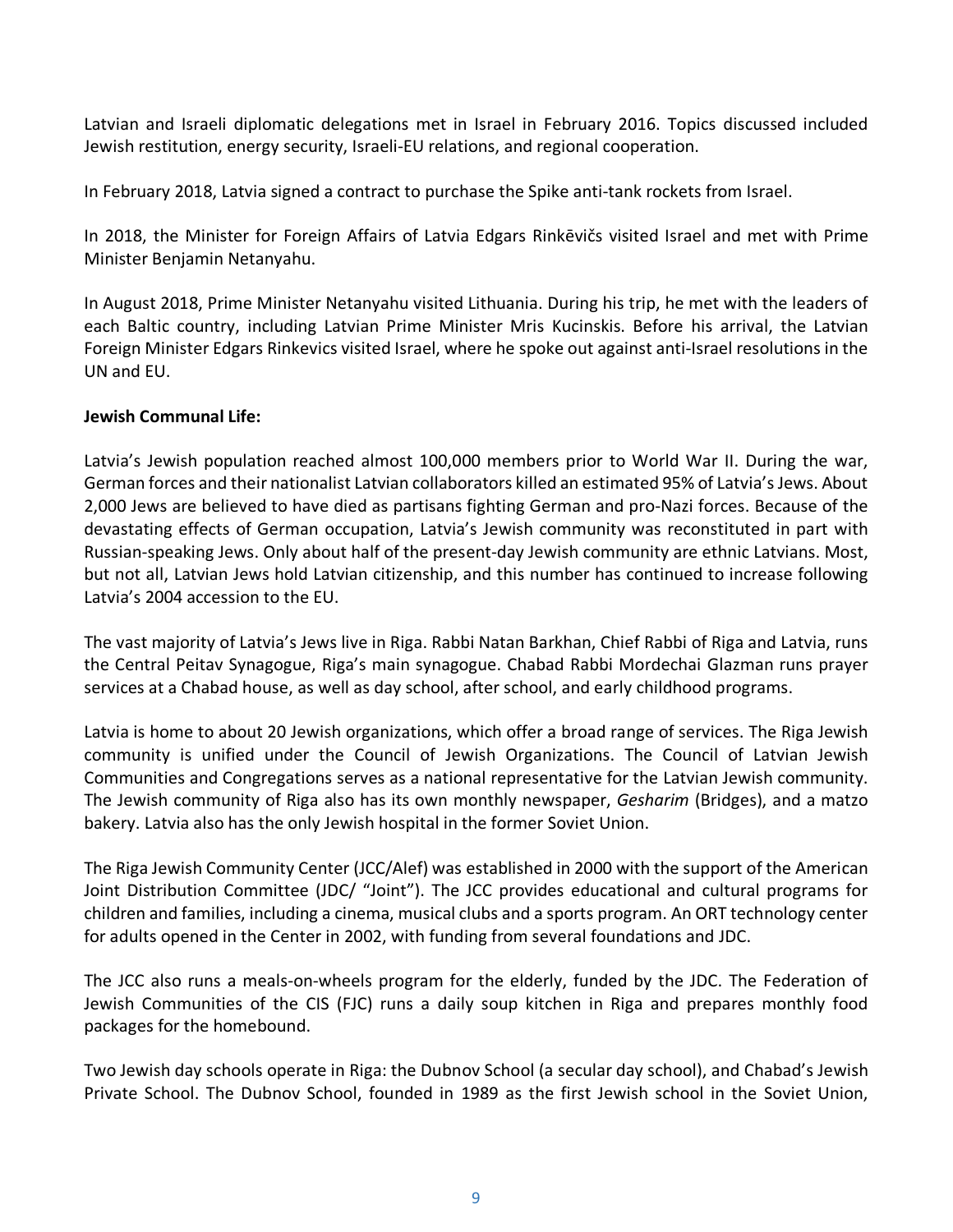Latvian and Israeli diplomatic delegations met in Israel in February 2016. Topics discussed included Jewish restitution, energy security, Israeli-EU relations, and regional cooperation.

In February 2018, Latvia signed a contract to purchase the Spike anti-tank rockets from Israel.

In 2018, the Minister for Foreign Affairs of Latvia Edgars Rinkēvičs visited Israel and met with Prime Minister Benjamin Netanyahu.

In August 2018, Prime Minister Netanyahu visited Lithuania. During his trip, he met with the leaders of each Baltic country, including Latvian Prime Minister Mris Kucinskis. Before his arrival, the Latvian Foreign Minister Edgars Rinkevics visited Israel, where he spoke out against anti-Israel resolutions in the UN and EU.

# <span id="page-8-0"></span>**Jewish Communal Life:**

Latvia's Jewish population reached almost 100,000 members prior to World War II. During the war, German forces and their nationalist Latvian collaborators killed an estimated 95% of Latvia's Jews. About 2,000 Jews are believed to have died as partisans fighting German and pro-Nazi forces. Because of the devastating effects of German occupation, Latvia's Jewish community was reconstituted in part with Russian-speaking Jews. Only about half of the present-day Jewish community are ethnic Latvians. Most, but not all, Latvian Jews hold Latvian citizenship, and this number has continued to increase following Latvia's 2004 accession to the EU.

The vast majority of Latvia's Jews live in Riga. Rabbi Natan Barkhan, Chief Rabbi of Riga and Latvia, runs the Central Peitav Synagogue, Riga's main synagogue. Chabad Rabbi Mordechai Glazman runs prayer services at a Chabad house, as well as day school, after school, and early childhood programs.

Latvia is home to about 20 Jewish organizations, which offer a broad range of services. The Riga Jewish community is unified under the Council of Jewish Organizations. The Council of Latvian Jewish Communities and Congregations serves as a national representative for the Latvian Jewish community. The Jewish community of Riga also has its own monthly newspaper, *Gesharim* (Bridges), and a matzo bakery. Latvia also has the only Jewish hospital in the former Soviet Union.

The Riga Jewish Community Center (JCC/Alef) was established in 2000 with the support of the American Joint Distribution Committee (JDC/ "Joint"). The JCC provides educational and cultural programs for children and families, including a cinema, musical clubs and a sports program. An ORT technology center for adults opened in the Center in 2002, with funding from several foundations and JDC.

The JCC also runs a meals-on-wheels program for the elderly, funded by the JDC. The Federation of Jewish Communities of the CIS (FJC) runs a daily soup kitchen in Riga and prepares monthly food packages for the homebound.

Two Jewish day schools operate in Riga: the Dubnov School (a secular day school), and Chabad's Jewish Private School. The Dubnov School, founded in 1989 as the first Jewish school in the Soviet Union,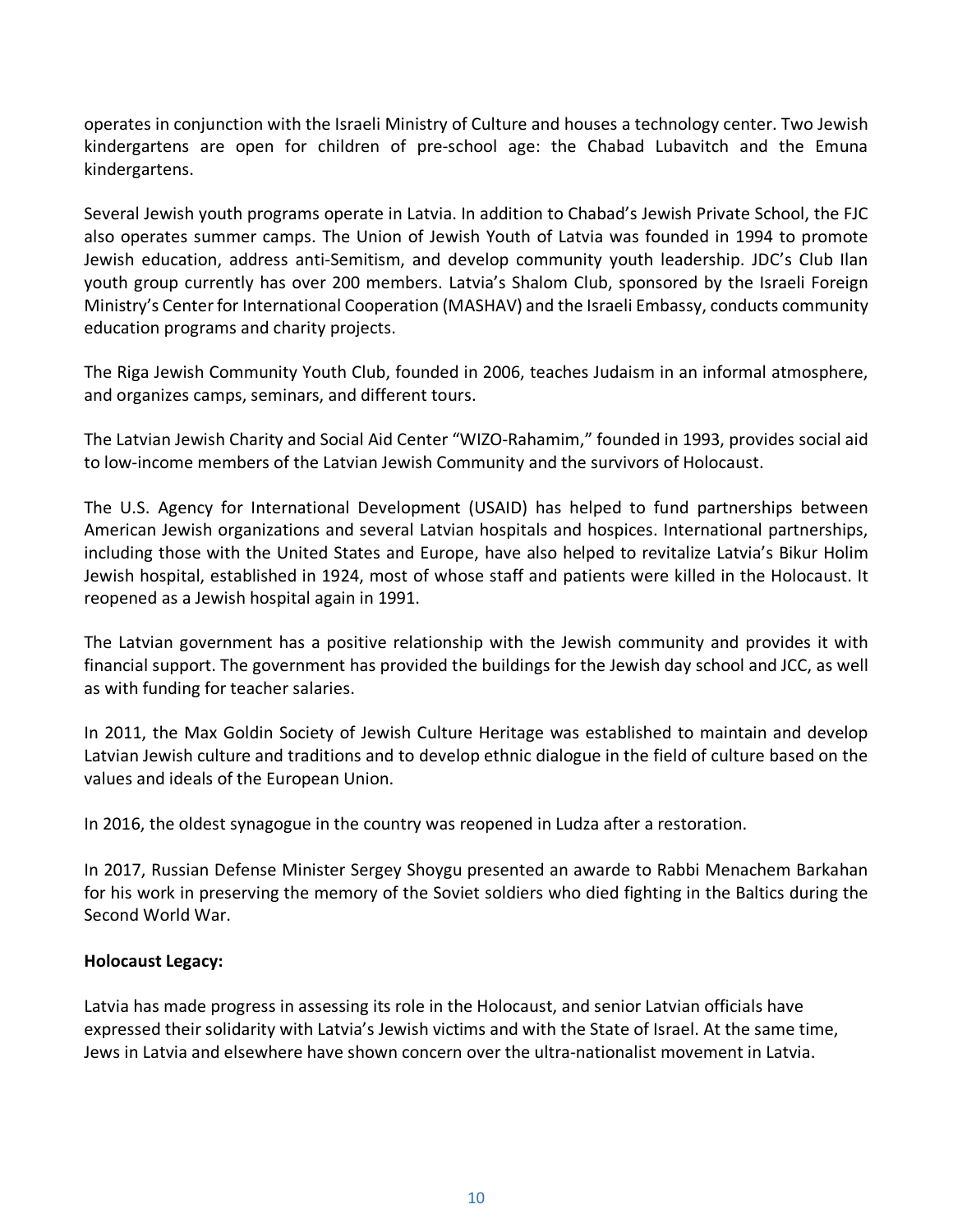operates in conjunction with the Israeli Ministry of Culture and houses a technology center. Two Jewish kindergartens are open for children of pre-school age: the Chabad Lubavitch and the Emuna kindergartens.

Several Jewish youth programs operate in Latvia. In addition to Chabad's Jewish Private School, the FJC also operates summer camps. The Union of Jewish Youth of Latvia was founded in 1994 to promote Jewish education, address anti-Semitism, and develop community youth leadership. JDC's Club Ilan youth group currently has over 200 members. Latvia's Shalom Club, sponsored by the Israeli Foreign Ministry's Center for International Cooperation (MASHAV) and the Israeli Embassy, conducts community education programs and charity projects.

The Riga Jewish Community Youth Club, founded in 2006, teaches Judaism in an informal atmosphere, and organizes camps, seminars, and different tours.

The Latvian Jewish Charity and Social Aid Center "WIZO-Rahamim," founded in 1993, provides social aid to low-income members of the Latvian Jewish Community and the survivors of Holocaust.

The U.S. Agency for International Development (USAID) has helped to fund partnerships between American Jewish organizations and several Latvian hospitals and hospices. International partnerships, including those with the United States and Europe, have also helped to revitalize Latvia's Bikur Holim Jewish hospital, established in 1924, most of whose staff and patients were killed in the Holocaust. It reopened as a Jewish hospital again in 1991.

The Latvian government has a positive relationship with the Jewish community and provides it with financial support. The government has provided the buildings for the Jewish day school and JCC, as well as with funding for teacher salaries.

In 2011, the Max Goldin Society of Jewish Culture Heritage was established to maintain and develop Latvian Jewish culture and traditions and to develop ethnic dialogue in the field of culture based on the values and ideals of the European Union.

In 2016, the oldest synagogue in the country was reopened in Ludza after a restoration.

In 2017, Russian Defense Minister Sergey Shoygu presented an awarde to Rabbi Menachem Barkahan for his work in preserving the memory of the Soviet soldiers who died fighting in the Baltics during the Second World War.

## **Holocaust Legacy:**

Latvia has made progress in assessing its role in the Holocaust, and senior Latvian officials have expressed their solidarity with Latvia's Jewish victims and with the State of Israel. At the same time, Jews in Latvia and elsewhere have shown concern over the ultra-nationalist movement in Latvia.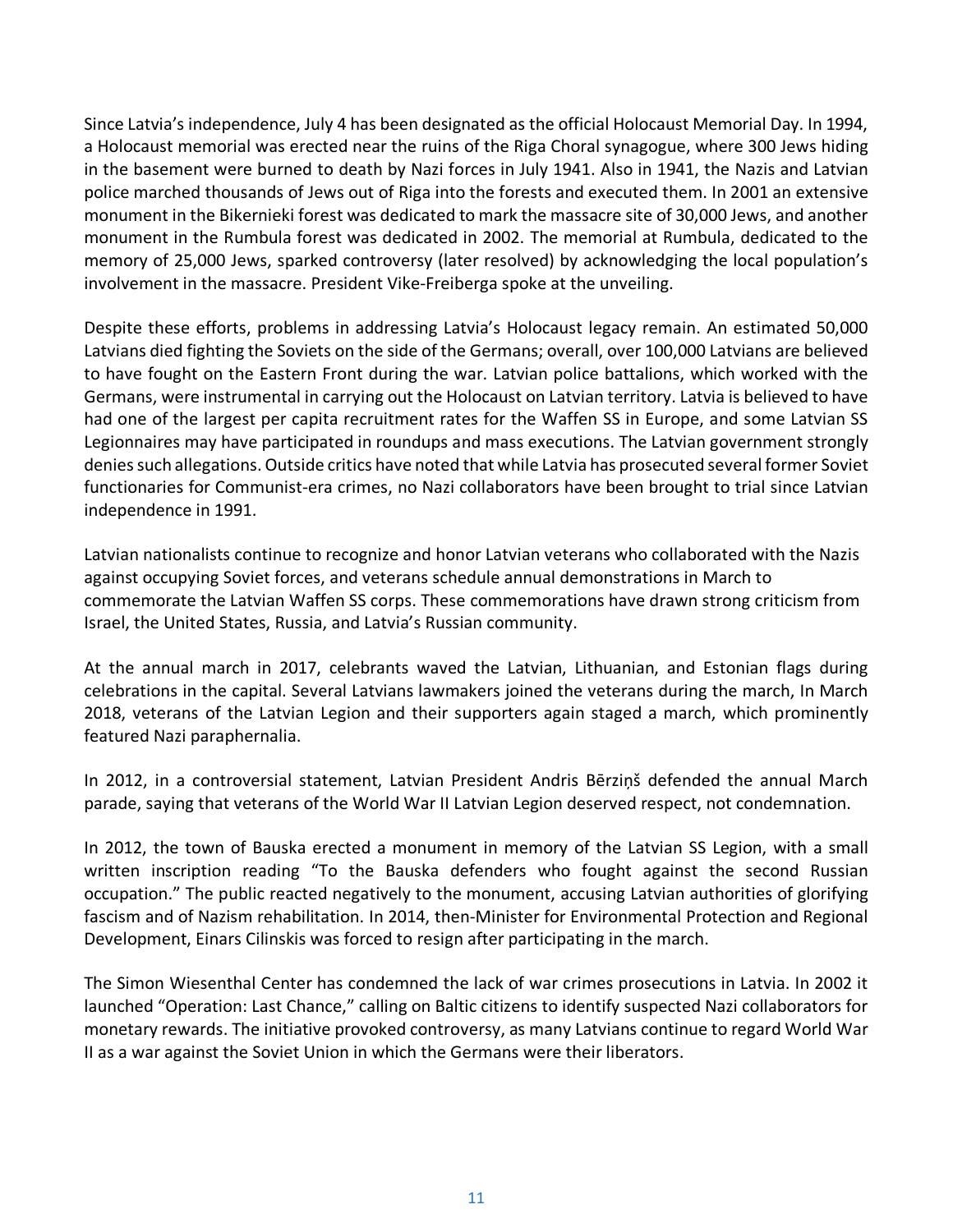Since Latvia's independence, July 4 has been designated as the official Holocaust Memorial Day. In 1994, a Holocaust memorial was erected near the ruins of the Riga Choral synagogue, where 300 Jews hiding in the basement were burned to death by Nazi forces in July 1941. Also in 1941, the Nazis and Latvian police marched thousands of Jews out of Riga into the forests and executed them. In 2001 an extensive monument in the Bikernieki forest was dedicated to mark the massacre site of 30,000 Jews, and another monument in the Rumbula forest was dedicated in 2002. The memorial at Rumbula, dedicated to the memory of 25,000 Jews, sparked controversy (later resolved) by acknowledging the local population's involvement in the massacre. President Vike-Freiberga spoke at the unveiling.

Despite these efforts, problems in addressing Latvia's Holocaust legacy remain. An estimated 50,000 Latvians died fighting the Soviets on the side of the Germans; overall, over 100,000 Latvians are believed to have fought on the Eastern Front during the war. Latvian police battalions, which worked with the Germans, were instrumental in carrying out the Holocaust on Latvian territory. Latvia is believed to have had one of the largest per capita recruitment rates for the Waffen SS in Europe, and some Latvian SS Legionnaires may have participated in roundups and mass executions. The Latvian government strongly denies such allegations. Outside critics have noted that while Latvia has prosecuted several former Soviet functionaries for Communist-era crimes, no Nazi collaborators have been brought to trial since Latvian independence in 1991.

Latvian nationalists continue to recognize and honor Latvian veterans who collaborated with the Nazis against occupying Soviet forces, and veterans schedule annual demonstrations in March to commemorate the Latvian Waffen SS corps. These commemorations have drawn strong criticism from Israel, the United States, Russia, and Latvia's Russian community.

At the annual march in 2017, celebrants waved the Latvian, Lithuanian, and Estonian flags during celebrations in the capital. Several Latvians lawmakers joined the veterans during the march, In March 2018, veterans of the Latvian Legion and their supporters again staged a march, which prominently featured Nazi paraphernalia.

In 2012, in a controversial statement, Latvian President Andris Bērziņš defended the annual March parade, saying that veterans of the World War II Latvian Legion deserved respect, not condemnation.

In 2012, the town of Bauska erected a monument in memory of the Latvian SS Legion, with a small written inscription reading "To the Bauska defenders who fought against the second Russian occupation." The public reacted negatively to the monument, accusing Latvian authorities of glorifying fascism and of Nazism rehabilitation. In 2014, then-Minister for Environmental Protection and Regional Development, Einars Cilinskis was forced to resign after participating in the march.

The Simon Wiesenthal Center has condemned the lack of war crimes prosecutions in Latvia. In 2002 it launched "Operation: Last Chance," calling on Baltic citizens to identify suspected Nazi collaborators for monetary rewards. The initiative provoked controversy, as many Latvians continue to regard World War II as a war against the Soviet Union in which the Germans were their liberators.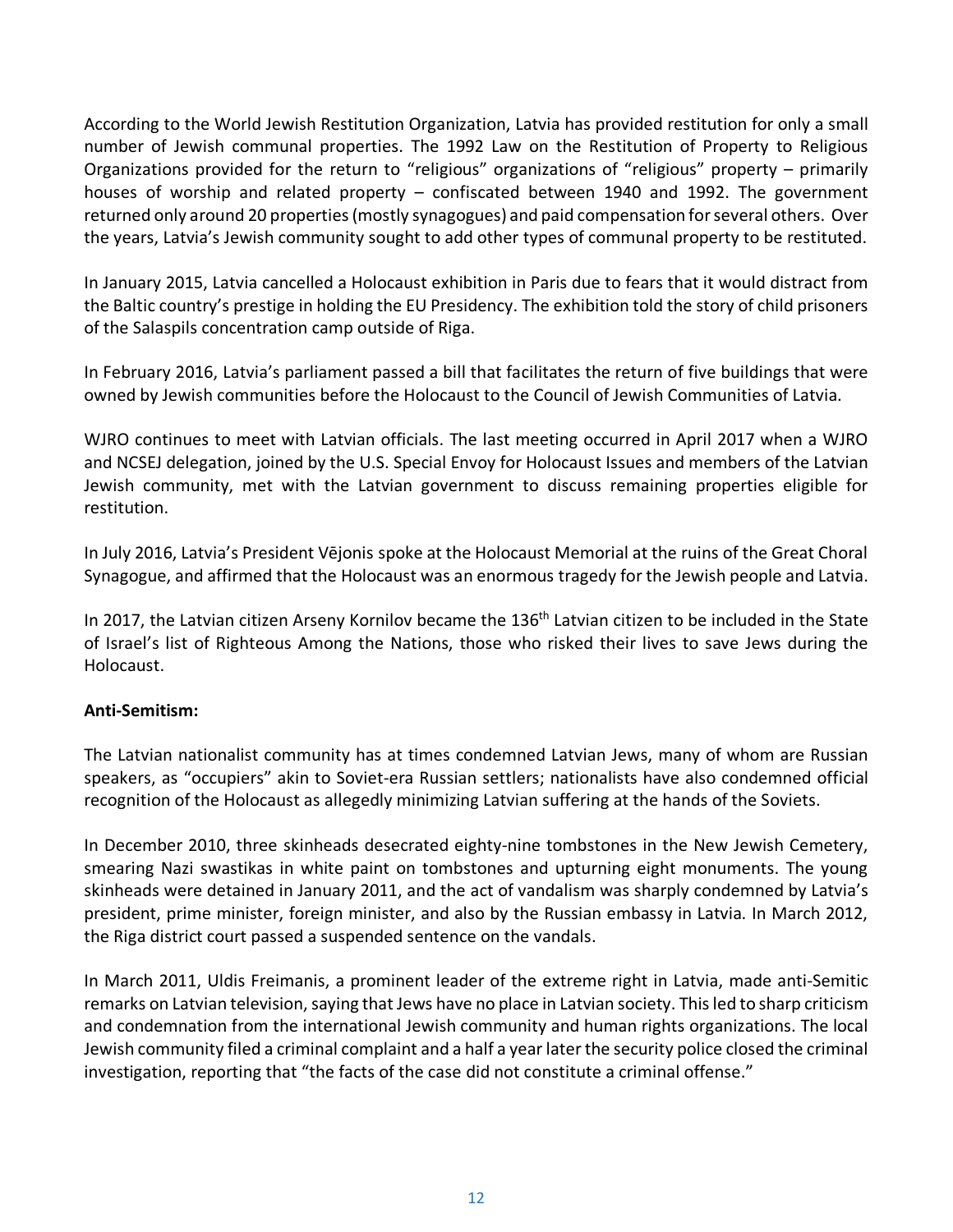According to the World Jewish Restitution Organization, Latvia has provided restitution for only a small number of Jewish communal properties. The 1992 Law on the Restitution of Property to Religious Organizations provided for the return to "religious" organizations of "religious" property – primarily houses of worship and related property – confiscated between 1940 and 1992. The government returned only around 20 properties (mostly synagogues) and paid compensation for several others. Over the years, Latvia's Jewish community sought to add other types of communal property to be restituted.

In January 2015, Latvia cancelled a Holocaust exhibition in Paris due to fears that it would distract from the Baltic country's prestige in holding the EU Presidency. The exhibition told the story of child prisoners of the Salaspils concentration camp outside of Riga.

In February 2016, Latvia's parliament passed a bill that facilitates the return of five buildings that were owned by Jewish communities before the Holocaust to the Council of Jewish Communities of Latvia.

WJRO continues to meet with Latvian officials. The last meeting occurred in April 2017 when a WJRO and NCSEJ delegation, joined by the U.S. Special Envoy for Holocaust Issues and members of the Latvian Jewish community, met with the Latvian government to discuss remaining properties eligible for restitution.

In July 2016, Latvia's President Vējonis spoke at the Holocaust Memorial at the ruins of the Great Choral Synagogue, and affirmed that the Holocaust was an enormous tragedy for the Jewish people and Latvia.

In 2017, the Latvian citizen Arseny Kornilov became the 136<sup>th</sup> Latvian citizen to be included in the State of Israel's list of Righteous Among the Nations, those who risked their lives to save Jews during the Holocaust.

# **Anti-Semitism:**

The Latvian nationalist community has at times condemned Latvian Jews, many of whom are Russian speakers, as "occupiers" akin to Soviet-era Russian settlers; nationalists have also condemned official recognition of the Holocaust as allegedly minimizing Latvian suffering at the hands of the Soviets.

In December 2010, three skinheads desecrated eighty-nine tombstones in the New Jewish Cemetery, smearing Nazi swastikas in white paint on tombstones and upturning eight monuments. The young skinheads were detained in January 2011, and the act of vandalism was sharply condemned by Latvia's president, prime minister, foreign minister, and also by the Russian embassy in Latvia. In March 2012, the Riga district court passed a suspended sentence on the vandals.

In March 2011, Uldis Freimanis, a prominent leader of the extreme right in Latvia, made anti-Semitic remarks on Latvian television, saying that Jews have no place in Latvian society. This led to sharp criticism and condemnation from the international Jewish community and human rights organizations. The local Jewish community filed a criminal complaint and a half a year later the security police closed the criminal investigation, reporting that "the facts of the case did not constitute a criminal offense."